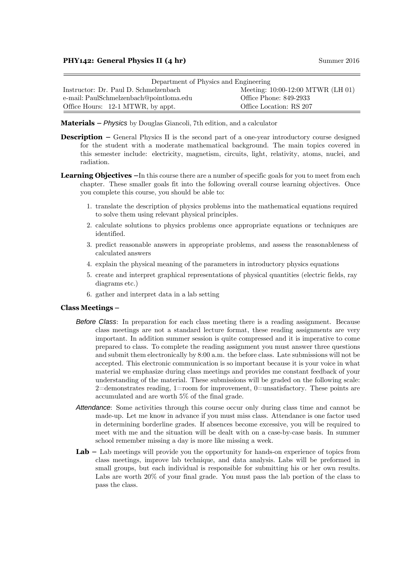## **PHY142: General Physics II (4 hr)** Summer 2016

| Department of Physics and Engineering   |                                   |  |  |  |
|-----------------------------------------|-----------------------------------|--|--|--|
| Instructor: Dr. Paul D. Schmelzenbach   | Meeting: 10:00-12:00 MTWR (LH 01) |  |  |  |
| e-mail: PaulSchmelzenbach@pointloma.edu | Office Phone: 849-2933            |  |  |  |
| Office Hours: 12-1 MTWR, by appt.       | Office Location: RS 207           |  |  |  |

**Materials –** *Physics* by Douglas Giancoli, 7th edition, and a calculator

- **Description** General Physics II is the second part of a one-year introductory course designed for the student with a moderate mathematical background. The main topics covered in this semester include: electricity, magnetism, circuits, light, relativity, atoms, nuclei, and radiation.
- **Learning Objectives –**In this course there are a number of specific goals for you to meet from each chapter. These smaller goals fit into the following overall course learning objectives. Once you complete this course, you should be able to:
	- 1. translate the description of physics problems into the mathematical equations required to solve them using relevant physical principles.
	- 2. calculate solutions to physics problems once appropriate equations or techniques are identified.
	- 3. predict reasonable answers in appropriate problems, and assess the reasonableness of calculated answers
	- 4. explain the physical meaning of the parameters in introductory physics equations
	- 5. create and interpret graphical representations of physical quantities (electric fields, ray diagrams etc.)
	- 6. gather and interpret data in a lab setting

## **Class Meetings –**

- *Before Class*: In preparation for each class meeting there is a reading assignment. Because class meetings are not a standard lecture format, these reading assignments are very important. In addition summer session is quite compressed and it is imperative to come prepared to class. To complete the reading assignment you must answer three questions and submit them electronically by 8:00 a.m. the before class. Late submissions will not be accepted. This electronic communication is so important because it is your voice in what material we emphasize during class meetings and provides me constant feedback of your understanding of the material. These submissions will be graded on the following scale: 2=demonstrates reading, 1=room for improvement, 0=unsatisfactory. These points are accumulated and are worth 5% of the final grade.
- *Attendance*: Some activities through this course occur only during class time and cannot be made-up. Let me know in advance if you must miss class. Attendance is one factor used in determining borderline grades. If absences become excessive, you will be required to meet with me and the situation will be dealt with on a case-by-case basis. In summer school remember missing a day is more like missing a week.
- **Lab –** Lab meetings will provide you the opportunity for hands-on experience of topics from class meetings, improve lab technique, and data analysis. Labs will be preformed in small groups, but each individual is responsible for submitting his or her own results. Labs are worth 20% of your final grade. You must pass the lab portion of the class to pass the class.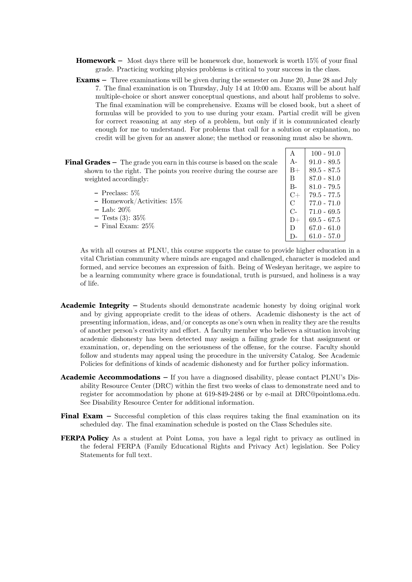- **Homework –** Most days there will be homework due, homework is worth 15% of your final grade. Practicing working physics problems is critical to your success in the class.
- **Exams** Three examinations will be given during the semester on June 20, June 28 and July 7. The final examination is on Thursday, July 14 at 10:00 am. Exams will be about half multiple-choice or short answer conceptual questions, and about half problems to solve. The final examination will be comprehensive. Exams will be closed book, but a sheet of formulas will be provided to you to use during your exam. Partial credit will be given for correct reasoning at any step of a problem, but only if it is communicated clearly enough for me to understand. For problems that call for a solution or explanation, no credit will be given for an answer alone; the method or reasoning must also be shown.

|                                                                                 | А             | $100 - 91.0$  |  |
|---------------------------------------------------------------------------------|---------------|---------------|--|
| <b>Final Grades</b> $-$ The grade you earn in this course is based on the scale | $A-$          | $91.0 - 89.5$ |  |
| shown to the right. The points you receive during the course are                | $B+$          | $89.5 - 87.5$ |  |
| weighted accordingly:                                                           | В             | $87.0 - 81.0$ |  |
|                                                                                 | $B-$          | $81.0 - 79.5$ |  |
| $-$ Preclass: 5\%                                                               | $C+$          | $79.5 - 77.5$ |  |
| - Homework/Activities: $15\%$                                                   | $\mathcal{C}$ | $77.0 - 71.0$ |  |
| $-$ Lab: 20%                                                                    | $C-$          | $71.0 - 69.5$ |  |
| $-$ Tests (3): 35\%                                                             | $D+$          | $69.5 - 67.5$ |  |
| $-$ Final Exam: $25\%$                                                          | D             | $67.0 - 61.0$ |  |
|                                                                                 | D-            | $61.0 - 57.0$ |  |

As with all courses at PLNU, this course supports the cause to provide higher education in a vital Christian community where minds are engaged and challenged, character is modeled and formed, and service becomes an expression of faith. Being of Wesleyan heritage, we aspire to be a learning community where grace is foundational, truth is pursued, and holiness is a way of life.

- **Academic Integrity –** Students should demonstrate academic honesty by doing original work and by giving appropriate credit to the ideas of others. Academic dishonesty is the act of presenting information, ideas, and/or concepts as one's own when in reality they are the results of another person's creativity and effort. A faculty member who believes a situation involving academic dishonesty has been detected may assign a failing grade for that assignment or examination, or, depending on the seriousness of the offense, for the course. Faculty should follow and students may appeal using the procedure in the university Catalog. See Academic Policies for definitions of kinds of academic dishonesty and for further policy information.
- **Academic Accommodations –** If you have a diagnosed disability, please contact PLNU's Disability Resource Center (DRC) within the first two weeks of class to demonstrate need and to register for accommodation by phone at 619-849-2486 or by e-mail at [DRC@pointloma.edu.](mailto:DRC@pointloma.edu) See Disability Resource Center for additional information.
- **Final Exam** Successful completion of this class requires taking the final examination on its scheduled day. The final examination schedule is posted on the Class Schedules site.
- **FERPA Policy** As a student at Point Loma, you have a legal right to privacy as outlined in the federal FERPA (Family Educational Rights and Privacy Act) legislation. See Policy Statements for full text.